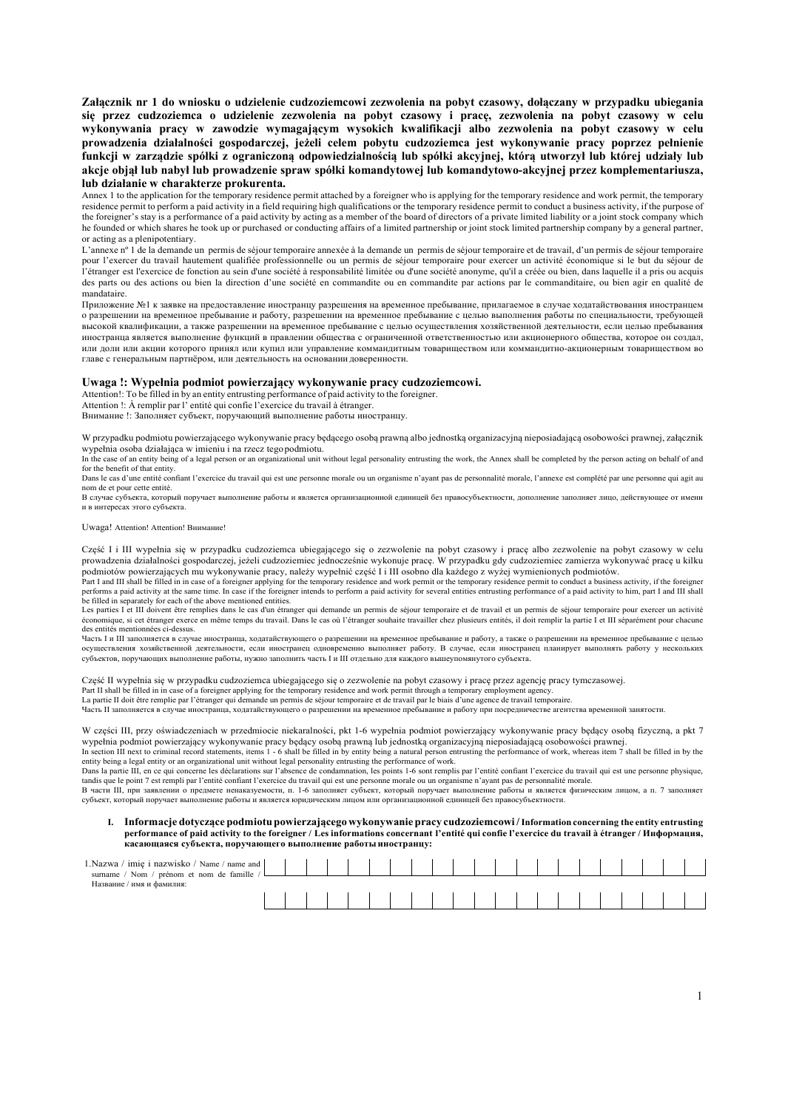**Załącznik nr 1 do wniosku o udzielenie cudzoziemcowi zezwolenia na pobyt czasowy, dołączany w przypadku ubiegania się przez cudzoziemca o udzielenie zezwolenia na pobyt czasowy i pracę, zezwolenia na pobyt czasowy w celu wykonywania pracy w zawodzie wymagającym wysokich kwalifikacji albo zezwolenia na pobyt czasowy w celu prowadzenia działalności gospodarczej, jeżeli celem pobytu cudzoziemca jest wykonywanie pracy poprzez pełnienie funkcji w zarządzie spółki z ograniczoną odpowiedzialnością lub spółki akcyjnej, którą utworzył lub której udziały lub akcje objął lub nabył lub prowadzenie spraw spółki komandytowej lub komandytowo-akcyjnej przez komplementariusza, lub działanie w charakterze prokurenta.**

Annex 1 to the application for the temporary residence permit attached by a foreigner who is applying for the temporary residence and work permit, the temporary residence permit to perform a paid activity in a field requiring high qualifications or the temporary residence permit to conduct a business activity, if the purpose of the foreigner's stay is a performance of a paid activity by acting as a member of the board of directors of a private limited liability or a joint stock company which he founded or which shares he took up or purchased or conducting affairs of a limited partnership or joint stock limited partnership company by a general partner, or acting as a plenipotentiary.

L'annexe nº 1 de la demande un permis de séjour temporaire annexée à la demande un permis de séjour temporaire et de travail, d'un permis de séjour temporaire pour l'exercer du travail hautement qualifiée professionnelle ou un permis de séjour temporaire pour exercer un activité économique si le but du séjour de l'étranger est l'exercice de fonction au sein d'une société à responsabilité limitée ou d'une société anonyme, qu'il a créée ou bien, dans laquelle il a pris ou acquis des parts ou des actions ou bien la direction d'une société en commandite ou en commandite par actions par le commanditaire, ou bien agir en qualité de mandataire.

Приложение №1 к заявке на предоставление иностранцу разрешения на временное пребывание, прилагаемое в случае ходатайствования иностранцем о разрешении на временное пребывание и работу, разрешении на временное пребывание с целью выполнения работы по специальности, требующей высокой квалификации, а также разрешении на временное пребывание с целью осуществления хозяйственной деятельности, если целью пребывания иностранца является выполнение функций в правлении общества с ограниченной ответственностью или акционерного общества, которое он создал, или доли или акции которого принял или купил или управление коммандитным товариществом или коммандитно-акционерным товариществом во главе с генеральным партнёром, или деятельность на основании доверенности.

## **Uwaga !: Wypełnia podmiot powierzający wykonywanie pracy cudzoziemcowi.**

Attention!: To be filled in by an entity entrusting performance of paid activity to the foreigner. Attention !: À remplir par l' entité qui confie l'exercice du travail à étranger.

Внимание !: Заполняет субъект, поручающий выполнение работы иностранцу.

W przypadku podmiotu powierzającego wykonywanie pracy będącego osobą prawną albo jednostką organizacyjną nieposiadającą osobowości prawnej, załącznik wypełnia osoba działająca w imieniu i na rzecz tegopodmiotu. In the case of an entity being of a legal person or an organizational unit without legal personality entrusting the work, the Annex shall be completed by the person acting on behalf of and In the Annex shall be completed b

for the benefit of that entity. Dans le cas d'une entité confiant l'exercice du travail qui est une personne morale ou un organisme n'ayant pas de personnalité morale, l'annexe est complété par une personne qui agit au

nom de et pour cette entité. В случае субъекта, который поручает выполнение работы и является организационной единицей без правосубъектности, дополнение заполняет лицо, действующее от имени

и в интересах этого субъекта.

Uwaga! Attention! Attention! Внимание!

1.Nazy

Część I i III wypełnia się w przypadku cudzoziemca ubiegającego się o zezwolenie na pobyt czasowy i pracę albo zezwolenie na pobyt czasowy w celu prowadzenia działalności gospodarczej, jeżeli cudzoziemiec jednocześnie wykonuje pracę. W przypadku gdy cudzoziemiec zamierza wykonywać pracę u kilku podmiotów powierzających mu wykonywanie pracy, należy wypełnić część I i III osobno dla każdego z wyżej wymienionych podmiotów.

Part I and III shall be filled in in case of a foreigner applying for the temporary residence of meta be some permit to conduct a business activity, if the foreigner<br>performs a paid activity at the same time. In case if th be filled in separately for each of the above mentioned entities.

Les parties I et III doivent être remplies dans le cas d'un étranger qui demande un permis de travail et un permis de séjour temporaire pour exercer un activité<br>économique, si cet étranger exerce en même temps du travail. des entités mentionnées ci-dessus.

Часть I и III заполняется в случае иностранца, ходатайствующего о разрешении на временное пребывание и работу, а также о разрешении на временное пребывание с целью осуществления хозяйственной деятельности, если иностранец одновременно выполняет работу. В случае, если иностранец планирует выполнять работу у нескольких субъектов, поручающих выполнение работы, нужно заполнить часть I и III отдельно для каждого вышеупомянутого субъекта.

Część II wypełnia się w przypadku cudzoziemca ubiegającego się o zezwolenie na pobyt czasowy i pracę przez agencję pracy tymczasowej.

Part II shall be filled in in case of a foreigner applying for the temporary residence and work permit through a temporary employment agency.

La partie II doit être remplie par l'étranger qui demande un permis de séjour temporaire et de travail d'une agence de travail temporaire.<br>Часть II заполняется в случае иностранца, ходатайствующего о разрешении на временн

W części III, przy oświadczeniach w przedmiocie niekaralności, pkt 1-6 wypełnia podmiot powierzający wykonywanie pracy będący osobą fizyczną, a pkt 7 wypełnia podmiot powierzający wykonywanie pracy będący osobą prawną lub jednostką organizacyjną nieposiadającą osobowości prawnej.

In section III next to criminal record statements, items 1 - 6 shall be filled in by entity being a natural person entrusting the performance of work, whereas item 7 shall be filled in by the entity being a legal entity or an organizational unit without legal personality entrusting the performance of work.

Dans la partie III, en ce qui concerne les déclarations sur l'absence de condamnation, les points 1-6 sont remplis par l'entité confiant l'exercice du travail qui est une personne physique,<br>tandis que le point 7 est rempli

В части III, при заявлении о предмете ненаказуемости, п. 1-6 заполняет субъект, который поручает выполнение работы и является физическим лицом, а п. 7 заполняет субъект, который поручает выполнение работы и является юридическим лицом или организационной единицей без правосубъектности.

#### **I. Informacje dotyczące podmiotu powierzającego wykonywanie pracy cudzoziemcowi /Information concerning the entity entrusting** performance of paid activity to the foreigner / Les informations concernant l'entité qui confie l'exercice du travail à étranger / Информация, **касающаяся субъекта, поручающего выполнение работы иностранцу:**

| Nazwa /<br>imie i nazwisko /<br>Name<br>name and<br>de famille<br>Nom<br>surname<br>prénom et nom |  |  |  |  |  |  |  |  |  |  |  |
|---------------------------------------------------------------------------------------------------|--|--|--|--|--|--|--|--|--|--|--|
| ′ имя и фамилия:<br>Название /                                                                    |  |  |  |  |  |  |  |  |  |  |  |
|                                                                                                   |  |  |  |  |  |  |  |  |  |  |  |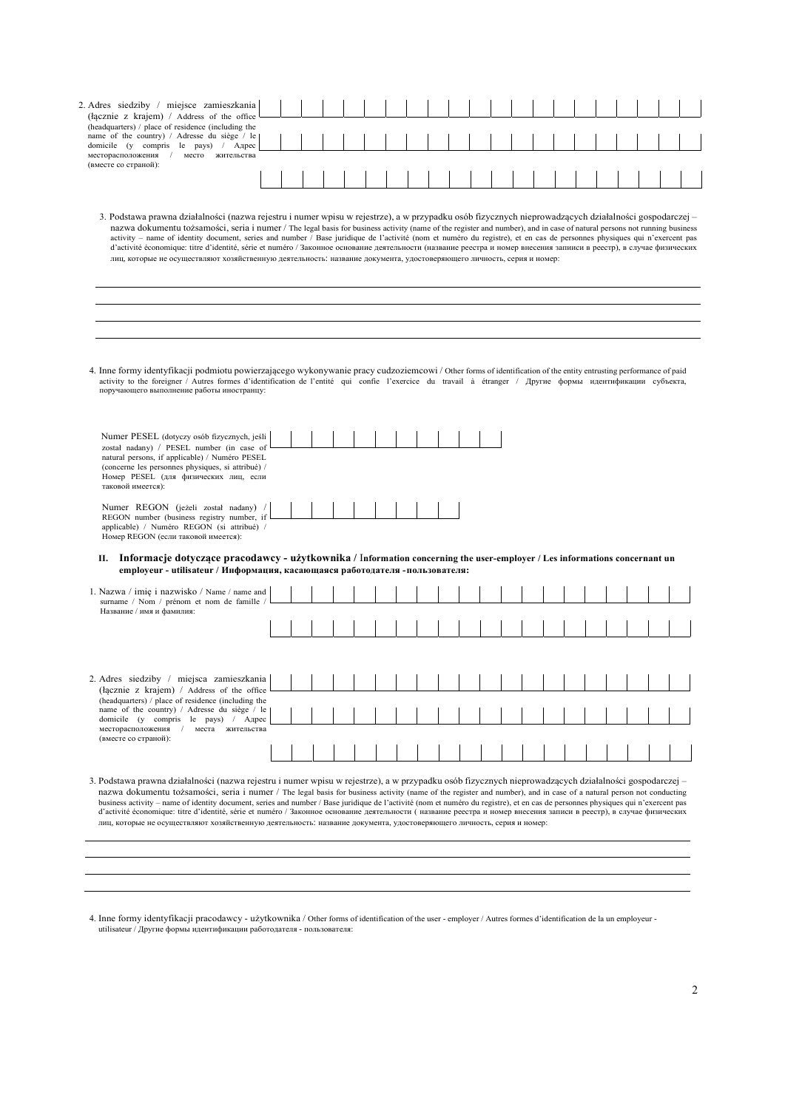| 2. Adres siedziby / miejsce zamieszkania                                                                                                                                                                                                                                                                                                                                                                                                                                                                                                                                                                                                                                                                                                                                                                      |  |  |  |  |  |  |  |  |  |  |  |  |
|---------------------------------------------------------------------------------------------------------------------------------------------------------------------------------------------------------------------------------------------------------------------------------------------------------------------------------------------------------------------------------------------------------------------------------------------------------------------------------------------------------------------------------------------------------------------------------------------------------------------------------------------------------------------------------------------------------------------------------------------------------------------------------------------------------------|--|--|--|--|--|--|--|--|--|--|--|--|
| (łącznie z krajem) / Address of the office<br>(headquarters) / place of residence (including the                                                                                                                                                                                                                                                                                                                                                                                                                                                                                                                                                                                                                                                                                                              |  |  |  |  |  |  |  |  |  |  |  |  |
| name of the country) / Adresse du siège / le<br>domicile (y compris le pays) / Agpec                                                                                                                                                                                                                                                                                                                                                                                                                                                                                                                                                                                                                                                                                                                          |  |  |  |  |  |  |  |  |  |  |  |  |
| месторасположения / место жительства<br>(вместе со страной):                                                                                                                                                                                                                                                                                                                                                                                                                                                                                                                                                                                                                                                                                                                                                  |  |  |  |  |  |  |  |  |  |  |  |  |
|                                                                                                                                                                                                                                                                                                                                                                                                                                                                                                                                                                                                                                                                                                                                                                                                               |  |  |  |  |  |  |  |  |  |  |  |  |
|                                                                                                                                                                                                                                                                                                                                                                                                                                                                                                                                                                                                                                                                                                                                                                                                               |  |  |  |  |  |  |  |  |  |  |  |  |
| 3. Podstawa prawna działalności (nazwa rejestru i numer wpisu w rejestrze), a w przypadku osób fizycznych nieprowadzących działalności gospodarczej –<br>nazwa dokumentu tożsamości, seria i numer / The legal basis for business activity (name of the register and number), and in case of natural persons not running business<br>activity - name of identity document, series and number / Base juridique de l'activité (nom et numéro du registre), et en cas de personnes physiques qui n'exercent pas<br>d'activité économique: titre d'identité, série et numéro / Законное основание деятельности (название реестра и номер внесения запииси в реестр), в случае физических<br>лиц, которые не осуществляют хозяйственную деятельность: название документа, удостоверяющего личность, серия и номер: |  |  |  |  |  |  |  |  |  |  |  |  |
|                                                                                                                                                                                                                                                                                                                                                                                                                                                                                                                                                                                                                                                                                                                                                                                                               |  |  |  |  |  |  |  |  |  |  |  |  |
|                                                                                                                                                                                                                                                                                                                                                                                                                                                                                                                                                                                                                                                                                                                                                                                                               |  |  |  |  |  |  |  |  |  |  |  |  |
|                                                                                                                                                                                                                                                                                                                                                                                                                                                                                                                                                                                                                                                                                                                                                                                                               |  |  |  |  |  |  |  |  |  |  |  |  |
|                                                                                                                                                                                                                                                                                                                                                                                                                                                                                                                                                                                                                                                                                                                                                                                                               |  |  |  |  |  |  |  |  |  |  |  |  |
| 4. Inne formy identyfikacji podmiotu powierzającego wykonywanie pracy cudzoziemcowi / Other forms of identification of the entity entrusting performance of paid<br>activity to the foreigner / Autres formes d'identification de l'entité qui confie l'exercice du travail à étranger / Другие формы идентификации субъекта,<br>поручающего выполнение работы иностранцу:                                                                                                                                                                                                                                                                                                                                                                                                                                    |  |  |  |  |  |  |  |  |  |  |  |  |
| Numer PESEL (dotyczy osób fizycznych, jeśli                                                                                                                                                                                                                                                                                                                                                                                                                                                                                                                                                                                                                                                                                                                                                                   |  |  |  |  |  |  |  |  |  |  |  |  |
| został nadany) / PESEL number (in case of<br>natural persons, if applicable) / Numéro PESEL<br>(concerne les personnes physiques, si attribué) /<br>Номер PESEL (для физических лиц, если<br>таковой имеется):                                                                                                                                                                                                                                                                                                                                                                                                                                                                                                                                                                                                |  |  |  |  |  |  |  |  |  |  |  |  |
| Numer REGON (jeżeli został nadany)                                                                                                                                                                                                                                                                                                                                                                                                                                                                                                                                                                                                                                                                                                                                                                            |  |  |  |  |  |  |  |  |  |  |  |  |
| REGON number (business registry number, if<br>applicable) / Numéro REGON (si attribué) /<br>Номер REGON (если таковой имеется):                                                                                                                                                                                                                                                                                                                                                                                                                                                                                                                                                                                                                                                                               |  |  |  |  |  |  |  |  |  |  |  |  |
| II. Informacje dotyczące pracodawcy - użytkownika / Information concerning the user-employer / Les informations concernant un<br>employeur - utilisateur / Информация, касающаяся работодателя - пользователя:                                                                                                                                                                                                                                                                                                                                                                                                                                                                                                                                                                                                |  |  |  |  |  |  |  |  |  |  |  |  |
| 1. Nazwa / imię i nazwisko / Name / name and<br>surname / Nom / prénom et nom de famille /                                                                                                                                                                                                                                                                                                                                                                                                                                                                                                                                                                                                                                                                                                                    |  |  |  |  |  |  |  |  |  |  |  |  |
| Название / имя и фамилия:                                                                                                                                                                                                                                                                                                                                                                                                                                                                                                                                                                                                                                                                                                                                                                                     |  |  |  |  |  |  |  |  |  |  |  |  |
|                                                                                                                                                                                                                                                                                                                                                                                                                                                                                                                                                                                                                                                                                                                                                                                                               |  |  |  |  |  |  |  |  |  |  |  |  |
|                                                                                                                                                                                                                                                                                                                                                                                                                                                                                                                                                                                                                                                                                                                                                                                                               |  |  |  |  |  |  |  |  |  |  |  |  |
|                                                                                                                                                                                                                                                                                                                                                                                                                                                                                                                                                                                                                                                                                                                                                                                                               |  |  |  |  |  |  |  |  |  |  |  |  |
| (łącznie z krajem) / Address of the office                                                                                                                                                                                                                                                                                                                                                                                                                                                                                                                                                                                                                                                                                                                                                                    |  |  |  |  |  |  |  |  |  |  |  |  |
| (headquarters) / place of residence (including the<br>name of the country) / Adresse du siège / le                                                                                                                                                                                                                                                                                                                                                                                                                                                                                                                                                                                                                                                                                                            |  |  |  |  |  |  |  |  |  |  |  |  |
| domicile (y compris le pays) / Agpec<br>месторасположения / места жительства                                                                                                                                                                                                                                                                                                                                                                                                                                                                                                                                                                                                                                                                                                                                  |  |  |  |  |  |  |  |  |  |  |  |  |
| (вместе со страной):                                                                                                                                                                                                                                                                                                                                                                                                                                                                                                                                                                                                                                                                                                                                                                                          |  |  |  |  |  |  |  |  |  |  |  |  |
|                                                                                                                                                                                                                                                                                                                                                                                                                                                                                                                                                                                                                                                                                                                                                                                                               |  |  |  |  |  |  |  |  |  |  |  |  |
| nazwa dokumentu tożsamości, seria i numer / The legal basis for business activity (name of the register and number), and in case of a natural person not conducting<br>business activity – name of identity document, series and number / Base juridique de l'activité (nom et numéro du registre), et en cas de personnes physiques qui n'exercent pas<br>d'activité économique: titre d'identité, série et numéro / Законное основание деятельности ( название реестра и номер внесения записи в реестр), в случае физических                                                                                                                                                                                                                                                                               |  |  |  |  |  |  |  |  |  |  |  |  |
| 3. Podstawa prawna działalności (nazwa rejestru i numer wpisu w rejestrze), a w przypadku osób fizycznych nieprowadzących działalności gospodarczej –<br>лиц, которые не осуществляют хозяйственную деятельность: название документа, удостоверяющего личность, серия и номер:                                                                                                                                                                                                                                                                                                                                                                                                                                                                                                                                |  |  |  |  |  |  |  |  |  |  |  |  |

4. Inne formy identyfikacji pracodawcy - użytkownika / Other forms of identification of the user - employer / Autres formes d'identification de la un employeur -<br>utilisateur / Другие формы идентификации работодателя - пол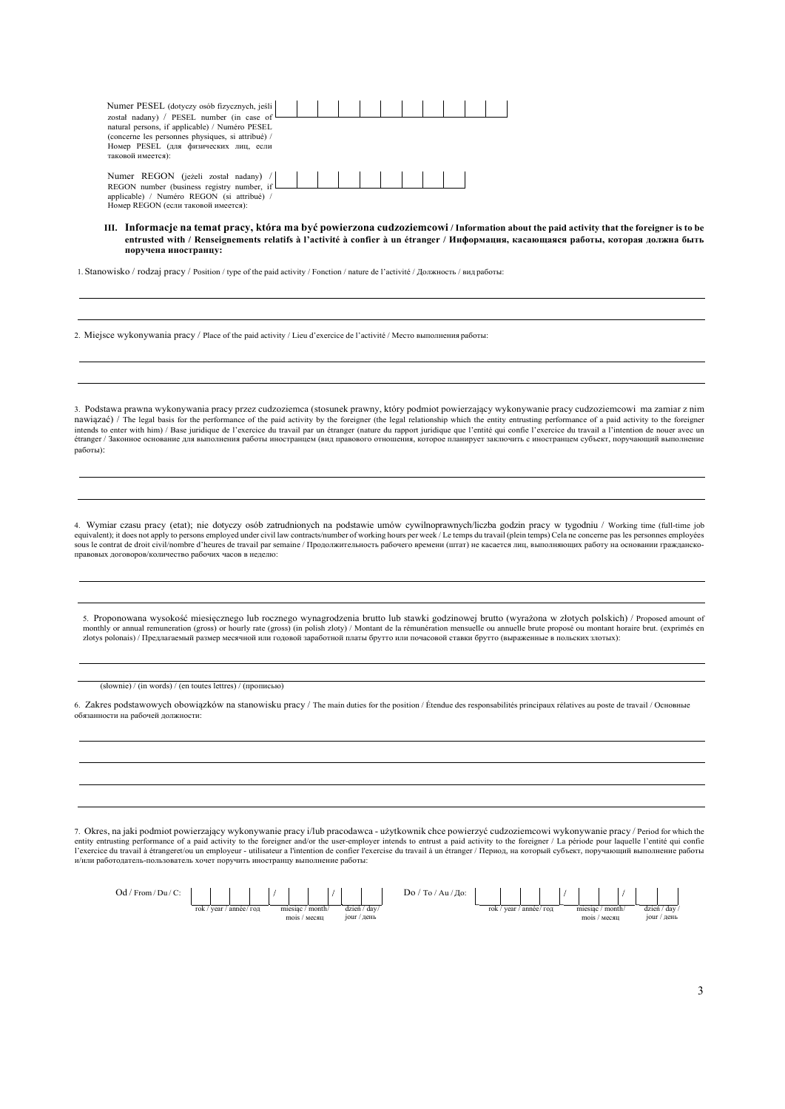| Numer PESEL (dotyczy osób fizycznych, jeśli  <br>został nadany) / PESEL number (in case of<br>natural persons, if applicable) / Numéro PESEL<br>(concerne les personnes physiques, si attribué) /<br>Номер PESEL (для физических лиц, если<br>таковой имеется): |  |  |  |  |  |
|-----------------------------------------------------------------------------------------------------------------------------------------------------------------------------------------------------------------------------------------------------------------|--|--|--|--|--|
| Numer REGON (jeżeli został nadany) /<br>REGON number (business registry number, if<br>applicable) / Numéro REGON (si attribué) /<br>Номер REGON (если таковой имеется):                                                                                         |  |  |  |  |  |

III. Informacje na temat pracy, która ma być powierzona cudzoziemcowi / Information about the paid activity that the foreigner is to be **entrusted with / Renseignements relatifs à l'activité à confier à un étranger / Информация, касающаяся работы, которая должна быть поручена иностранцу:**

1. Stanowisko / rodzaj pracy / Position / type of the paid activity / Fonction / nature de l'activité / Должность / вид работы:

2. Miejsce wykonywania pracy / Place of the paid activity / Lieu d'exercice de l'activité / Место выполнения работы:

3. Podstawa prawna wykonywania pracy przez cudzoziemca (stosunek prawny, który podmiot powierzający wykonywanie pracy cudzoziemcowi ma zamiar z nim nawiązać) / The legal basis for the performance of the paid activity by the foreigner (the legal relationship which the entity entrusting performance of a paid activity to the foreigner intends to enter with him) / Base juridique de l'exercice du travail par un étranger (nature du rapport juridique que l'entité qui confie l'exercice du travail a l'intention de nouer avec un étranger / Законное основание для выполнения работы иностранцем (вид правового отношения, которое планирует заключить с иностранцем субъект, поручающий выполнение работы):

4. Wymiar czasu pracy (etat); nie dotyczy osób zatrudnionych na podstawie umów cywilnoprawnych/liczba godzin pracy w tygodniu / Working time (full-time job equivalent); it does not apply to persons employed under civil law contracts/number of working hours per week / Le temps du travail (plein temps) Cela ne concerne pas les personnes employées<br>sous le contrat de droit civil правовых договоров/количество рабочих часов в неделю:

5. Proponowana wysokość miesięcznego lub rocznego wynagrodzenia brutto lub stawki godzinowej brutto (wyrażona w złotych polskich) / Proposed amount of monthly or annual remuneration (gross) or hourly rate (gross) (in polish zloty) / Montant de la rémunération mensuelle ou annuelle brute proposé ou montant horaire brut. (exprimés en zlotys polonais) / Предлагаемый размер месячной или годовой заработной платы брутто или почасовой ставки брутто (выраженные в польских злотых):

(słownie) / (in words) / (en toutes lettres) / (прописью)

6. Zakres podstawowych obowiązków na stanowisku pracy / The main duties for the position / Étendue des responsabilités principaux rélatives au poste de travail / Основные обязанности на рабочей должности:

7. Okres, na jaki podmiot powierzający wykonywanie pracy i/lub pracodawca - użytkownik chce powierzyć cudzoziemcowi wykonywanie pracy / Period for which the entity entrusting performance of a paid activity to the foreigner and/or the user-employer intends to entrust a paid activity to the foreigner / La période pour laquelle l'entité qui confie<br>l'exercice du travail à étrange и/или работодатель-пользователь хочет поручить иностранцу выполнение работы:

| Od /<br>$/$ From $/$ Du $/$ C: |                                  |  |  |                   |             |  |  |              |  | $Au/$ До:<br>To/<br>Do / |                                  |         |                |  |                   |  |
|--------------------------------|----------------------------------|--|--|-------------------|-------------|--|--|--------------|--|--------------------------|----------------------------------|---------|----------------|--|-------------------|--|
|                                |                                  |  |  |                   |             |  |  |              |  |                          |                                  |         |                |  |                   |  |
|                                | ' année/ гол<br>rok / $vear$     |  |  | month<br>miesiac. |             |  |  | dzień / day/ |  | rok / year / année/ год  |                                  | miesiac | $\prime$ month |  | $dz_1$ en / day / |  |
|                                | $_{\rm mols}$ / $_{\rm MecsIII}$ |  |  |                   | jour / день |  |  |              |  |                          | $_{\rm mols}$ / $_{\rm MecsIII}$ |         | $10$ ur / день |  |                   |  |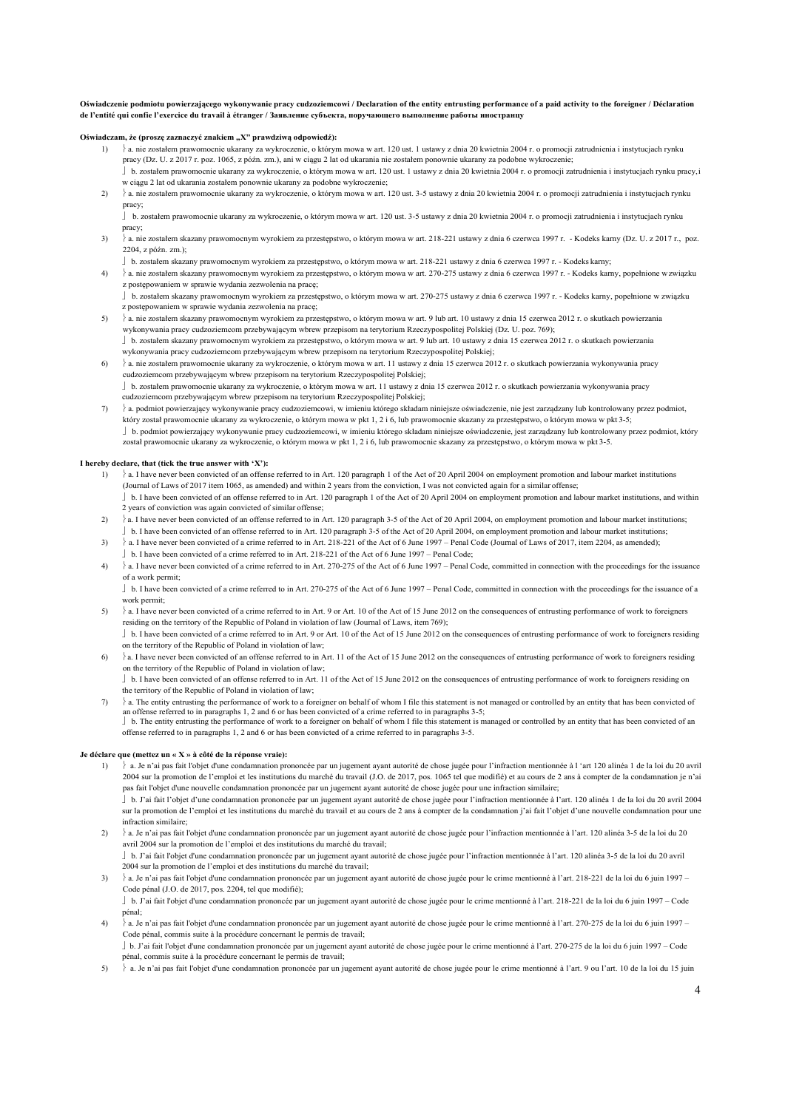### **Oświadczenie podmiotu powierzającego wykonywanie pracy cudzoziemcowi / Declaration of the entity entrusting performance of a paid activity to the foreigner / Déclaration de l'entité qui confie l'exercice du travail à étranger / Заявление субъекта, поручающего выполнение работы иностранцу**

# Oświadczam, że (proszę zaznaczyć znakiem "X" prawdziwą odpowiedź):

- 1)  $\}$ a. nie zostałem prawomocnie ukarany za wykroczenie, o którym mowa w art. 120 ust. 1 ustawy z dnia 20 kwietnia 2004 r. o promocji zatrudnienia i instytucjach rynku pracy (Dz. U. z 2017 r. poz. 1065, z późn. zm.), ani w ciągu 2 lat od ukarania nie zostałem ponownie ukarany za podobne wykroczenie; b. zostałem prawomocnie ukarany za wykroczenie, o którym mowa w art. 120 ust. 1 ustawy z dnia 20 kwietnia 2004 r. o promocji zatrudnienia i instytucjach rynku pracy,i
- w ciągu 2 lat od ukarania zostałem ponownie ukarany za podobne wykroczenie;
- $\lambda$ a. nie zostałem prawomocnie ukarany za wykroczenie, o którym mowa w art. 120 ust. 3-5 ustawy z dnia 20 kwietnia 2004 r. o promocii zatrudnienia i instytuciach rynku pracy;
	- b. zostałem prawomocnie ukarany za wykroczenie, o którym mowa w art. 120 ust. 3-5 ustawy z dnia 20 kwietnia 2004 r. o promocji zatrudnienia i instytucjach rynku pracy;
- 3)  $\}$ a. nie zostałem skazany prawomocnym wyrokiem za przestępstwo, o którym mowa w art. 218-221 ustawy z dnia 6 czerwca 1997 r. Kodeks karny (Dz. U. z 2017 r., poz. 2204, z późn. zm.);
	- b. zostałem skazany prawomocnym wyrokiem za przestępstwo, o którym mowa w art. 218-221 ustawy z dnia 6 czerwca 1997 r. Kodeks karny;
- 4) a. nie zostałem skazany prawomocnym wyrokiem za przestępstwo, o którym mowa w art. 270-275 ustawy z dnia 6 czerwca 1997 r. Kodeks karny, popełnione wzwiązku z postępowaniem w sprawie wydania zezwolenia na pracę;
- b. zostałem skazany prawomocnym wyrokiem za przestępstwo, o którym mowa w art. 270-275 ustawy z dnia 6 czerwca 1997 r. Kodeks karny, popełnione w związku z postępowaniem w sprawie wydania zezwolenia na pracę;
- 5) a. nie zostałem skazany prawomocnym wyrokiem za przestępstwo, o którym mowa w art. 9 lub art. 10 ustawy z dnia 15 czerwca 2012 r. o skutkach powierzania wykonywania pracy cudzoziemcom przebywającym wbrew przepisom na terytorium Rzeczypospolitej Polskiej (Dz. U. poz. 769); b. zostałem skazany prawomocnym wyrokiem za przestępstwo, o którym mowa w art. 9 lub art. 10 ustawy z dnia 15 czerwca 2012 r. o skutkach powierzania wykonywania pracy cudzoziemcom przebywającym wbrew przepisom na terytorium Rzeczypospolitej Polskiej;
- $\alpha$  a. nie zostałem prawomocnie ukarany za wykroczenie, o którym mowa w art. 11 ustawy z dnia 15 czerwca 2012 r. o skutkach powierzania wykonywania pracy cudzoziemcom przebywającym wbrew przepisom na terytorium Rzeczypospolitej Polskiej; b. zostałem prawomocnie ukarany za wykroczenie, o którym mowa w art. 11 ustawy z dnia 15 czerwca 2012 r. o skutkach powierzania wykonywania pracy
- cudzoziemcom przebywającym wbrew przepisom na terytorium Rzeczypospolitej Polskiej;
- 7) a. podmiot powierzający wykonywanie pracy cudzoziemcowi, w imieniu którego składam niniejsze oświadczenie, nie jest zarządzany lub kontrolowany przez podmiot, który został prawomocnie ukarany za wykroczenie, o którym mowa w pkt 1, 2 i 6, lub prawomocnie skazany za przestępstwo, o którym mowa w pkt 3-5; b. podmiot powierzający wykonywanie pracy cudzoziemcowi, w imieniu którego składam niniejsze oświadczenie, jest zarządzany lub kontrolowany przez podmiot, który został prawomocnie ukarany za wykroczenie, o którym mowa w pkt 1, 2 i 6, lub prawomocnie skazany za przestępstwo, o którym mowa w pkt 3-5.

### **I hereby declare, that (tick the true answer with 'X'):**

- 1)  $\frac{1}{2}$  a. I have never been convicted of an offense referred to in Art. 120 paragraph 1 of the Act of 20 April 2004 on employment promotion and labour market institutions (Journal of Laws of 2017 item 1065, as amended) and within 2 years from the conviction, I was not convicted again for a similar offense; b. I have been convicted of an offense referred to in Art. 120 paragraph 1 of the Act of 20 April 2004 on employment promotion and labour market institutions, and within 2 years of conviction was again convicted of similar offense;
- $\lambda$  a. I have never been convicted of an offense referred to in Art. 120 paragraph 3-5 of the Act of 20 April 2004, on employment promotion and labour market institutions;
- b. I have been convicted of an offense referred to in Art. 120 paragraph 3-5 of the Act of 20 April 2004, on employment promotion and labour market institutions; 3)  $\}$  a. I have never been convicted of a crime referred to in Art. 218-221 of the Act of 6 June 1997 – Penal Code (Journal of Laws of 2017, item 2204, as amended); b. I have been convicted of a crime referred to in Art. 218-221 of the Act of 6 June 1997 – Penal Code;
- $\}$  a. I have never been convicted of a crime referred to in Art. 270-275 of the Act of 6 June 1997 Penal Code, committed in connection with the proceedings for the issuance of a work permit;
- b. I have been convicted of a crime referred to in Art. 270-275 of the Act of 6 June 1997 Penal Code, committed in connection with the proceedings for the issuance of a work permit;
- $\frac{1}{2}$  a. I have never been convicted of a crime referred to in Art. 9 or Art. 10 of the Act of 15 June 2012 on the consequences of entrusting performance of work to foreigners residing on the territory of the Republic of Poland in violation of law (Journal of Laws, item 769);
- b. I have been convicted of a crime referred to in Art. 9 or Art. 10 of the Act of 15 June 2012 on the consequences of entrusting performance of work to foreigners residing on the territory of the Republic of Poland in violation of law;
- $6)$   $\lambda$  a. I have never been convicted of an offense referred to in Art. 11 of the Act of 15 June 2012 on the consequences of entrusting performance of work to foreigners residing on the territory of the Republic of Poland in violation of law;

 b. I have been convicted of an offense referred to in Art. 11 of the Act of 15 June 2012 on the consequences of entrusting performance of work to foreigners residing on the territory of the Republic of Poland in violation of law;

 $\lambda$  a. The entity entrusting the performance of work to a foreigner on behalf of whom I file this statement is not managed or controlled by an entity that has been convicted of an offense referred to in paragraphs 1, 2 and 6 or has been convicted of a crime referred to in paragraphs 3-5; b. The entity entrusting the performance of work to a foreigner on behalf of whom I file this statement is managed or controlled by an entity that has been convicted of an offense referred to in paragraphs 1, 2 and 6 or has been convicted of a crime referred to in paragraphs 3-5.

### **Je déclare que (mettez un « X » à côté de la réponse vraie):**

1) à . Je n'ai pas fait l'objet d'une condamnation prononcée par un jugement ayant autorité de chose jugée pour l'infraction mentionnée à l 'art 120 alinéa 1 de la loi du 20 avril 2004 sur la promotion de l'emploi et les institutions du marché du travail (J.O. de 2017, pos. 1065 tel que modifié) et au cours de 2 ans à compter de la condamnation je n'ai pas fait l'objet d'une nouvelle condamnation prononcée par un jugement ayant autorité de chose jugée pour une infraction similaire;

 b. J'ai fait l'objet d'une condamnation prononcée par un jugement ayant autorité de chose jugée pour l'infraction mentionnée à l'art. 120 alinéa 1 de la loi du 20 avril 2004 sur la promotion de l'emploi et les institutions du marché du travail et au cours de 2 ans à compter de la condamnation j'ai fait l'objet d'une nouvelle condamnation pour une infraction similaire;

- 2) à Je n'ai pas fait l'objet d'une condamnation prononcée par un jugement ayant autorité de chose jugée pour l'infraction mentionnée à l'art. 120 alinéa 3-5 de la loi du 20 avril 2004 sur la promotion de l'emploi et des institutions du marché du travail; b. J'ai fait l'objet d'une condamnation prononcée par un jugement ayant autorité de chose jugée pour l'infraction mentionnée à l'art. 120 alinéa 3-5 de la loi du 20 avril 2004 sur la promotion de l'emploi et des institutions du marché du travail;
- $3)$   $\downarrow$  a. Je n'ai pas fait l'objet d'une condamnation prononcée par un jugement ayant autorité de chose jugée pour le crime mentionné à l'art. 218-221 de la loi du 6 juin 1997 Code pénal (J.O. de 2017, pos. 2204, tel que modifié);

 b. J'ai fait l'objet d'une condamnation prononcée par un jugement ayant autorité de chose jugée pour le crime mentionné à l'art. 218-221 de la loi du 6 juin 1997 – Code pénal;

 $\downarrow$  a. Je n'ai pas fait l'objet d'une condamnation prononcée par un jugement ayant autorité de chose jugée pour le crime mentionné à l'art. 270-275 de la loi du 6 juin 1997 – Code pénal, commis suite à la procédure concernant le permis de travail;

 b. J'ai fait l'objet d'une condamnation prononcée par un jugement ayant autorité de chose jugée pour le crime mentionné à l'art. 270-275 de la loi du 6 juin 1997 – Code pénal, commis suite à la procédure concernant le permis de travail;

5) a. Je n'ai pas fait l'objet d'une condamnation prononcée par un jugement ayant autorité de chose jugée pour le crime mentionné à l'art. 9 ou l'art. 10 de la loi du 15 juin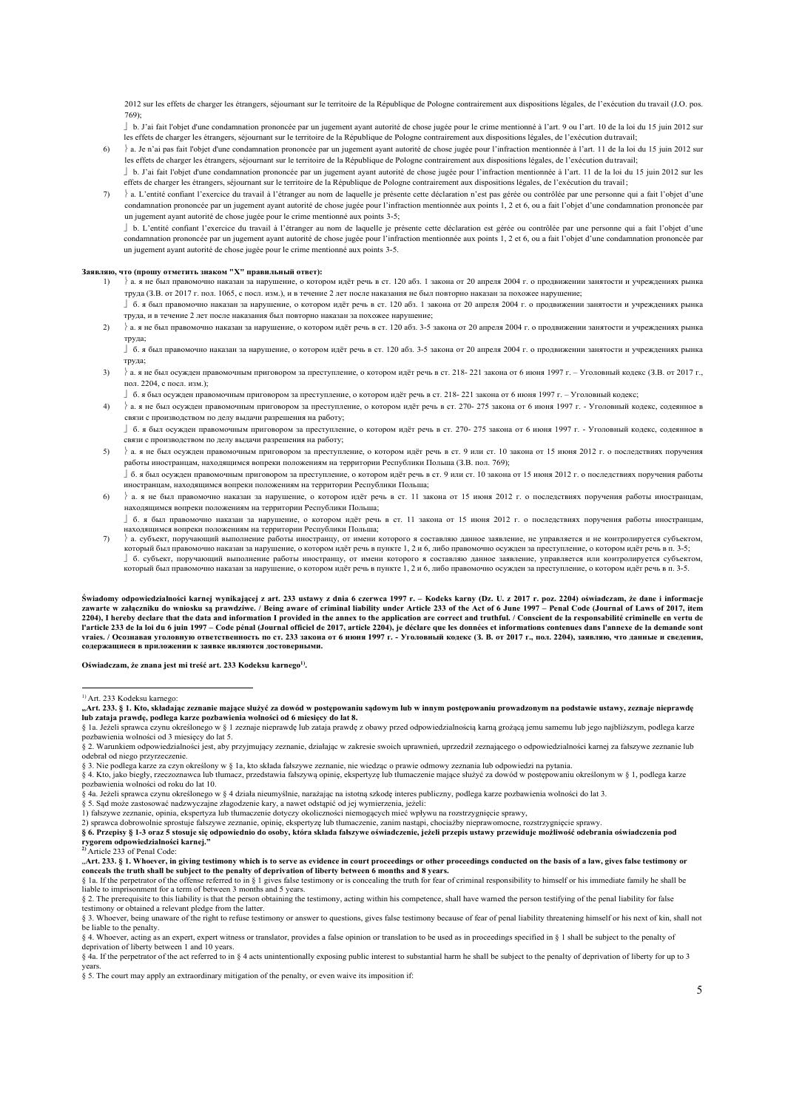2012 sur les effets de charger les étrangers, séjournant sur le territoire de la République de Pologne contrairement aux dispositions légales, de l'exécution du travail (J.O. pos. 769);

 $\mid b$ . J'ai fait l'objet d'une condamnation prononcée par un jugement avant autorité de chose jugée pour le crime mentionné à l'art. 9 ou l'art. 10 de la loi du 15 juin 2012 sur les effets de charger les étrangers, séjournant sur le territoire de la République de Pologne contrairement aux dispositions légales, de l'exécution dutravail;

- $6)$   $\downarrow$  a. Je n'ai pas fait l'objet d'une condamnation prononcée par un jugement ayant autorité de chose jugée pour l'infraction mentionnée à l'art. 11 de la loi du 15 juin 2012 sur les effets de charger les étrangers, séjournant sur le territoire de la République de Pologne contrairement aux dispositions légales, de l'exécution du travail; b. J'ai fait l'objet d'une condamnation prononcée par un jugement ayant autorité de chose jugée pour l'infraction mentionnée à l'art. 11 de la loi du 15 juin 2012 sur les
- effets de charger les étrangers, séjournant sur le territoire de la République de Pologne contrairement aux dispositions légales, de l'exécution du travail;
- 7) à L'entité confiant l'exercice du travail à l'étranger au nom de laquelle je présente cette déclaration n'est pas gérée ou contrôlée par une personne qui a fait l'objet d'une condamnation prononcée par un jugement ayant autorité de chose jugée pour l'infraction mentionnée aux points 1, 2 et 6, ou a fait l'objet d'une condamnation prononcée par un jugement ayant autorité de chose jugée pour le crime mentionné aux points 3-5;

 b. L'entité confiant l'exercice du travail à l'étranger au nom de laquelle je présente cette déclaration est gérée ou contrôlée par une personne qui a fait l'objet d'une condamnation prononcée par un jugement ayant autorité de chose jugée pour l'infraction mentionnée aux points 1, 2 et 6, ou a fait l'objet d'une condamnation prononcée par un jugement ayant autorité de chose jugée pour le crime mentionné aux points 3-5.

# **Заявляю, что (прошу отметить знаком "X" правильный ответ):**

- 1) a. я не был правомочно наказан за нарушение, о котором идёт речь в ст. 120 абз. 1 закона от 20 апреля 2004 г. о продвижении занятости и учреждениях рынка труда (З.В. от 2017 г. пол. 1065, с посл. изм.), и в течение 2 лет после наказания не был повторно наказан за похожее нарушение; б. я был правомочно наказан за нарушение, о котором идёт речь в ст. 120 абз. 1 закона от 20 апреля 2004 г. о продвижении занятости и учреждениях рынка
	- труда, и в течение 2 лет после наказания был повторно наказан за похожее нарушение;
- 2)  $\lambda$  я не был правомочно наказан за нарушение, о котором идёт речь в ст. 120 абз. 3-5 закона от 20 апреля 2004 г. о продвижении занятости и учреждениях рынка труда;

 б. я был правомочно наказан за нарушение, о котором идёт речь в ст. 120 абз. 3-5 закона от 20 апреля 2004 г. о продвижении занятости и учреждениях рынка труда;

- 3)  $\;$  а. я не был осужден правомочным приговором за преступление, о котором идёт речь в ст. 218-221 закона от 6 июня 1997 г. Уголовный кодекс (З.В. от 2017 г., пол. 2204, с посл. изм.);
	- б. я был осужден правомочным приговором за преступление, о котором идёт речь в ст. 218- 221 закона от 6 июня 1997 г. Уголовный кодекс;
- 4)  $\{a, a$  не был осужден правомочным приговором за преступление, о котором идёт речь в ст. 270- 275 закона от 6 июня 1997 г. Уголовный кодекс, содеянное в связи с производством по делу выдачи разрешения на работу;

 б. я был осужден правомочным приговором за преступление, о котором идёт речь в ст. 270- 275 закона от 6 июня 1997 г. - Уголовный кодекс, содеянное в связи с производством по делу выдачи разрешения на работу;

- 5)  $\}$ а. я не был осужден правомочным приговором за преступление, о котором идёт речь в ст. 9 или ст. 10 закона от 15 июня 2012 г. о последствиях поручения работы иностранцам, находящимся вопреки положениям на территории Республики Польша (З.В. пол. 769); б. я был осужден правомочным приговором за преступление, о котором идёт речь в ст. 9 или ст. 10 закона от 15 июня 2012 г. о последствиях поручения работы
- иностранцам, находящимся вопреки положениям на территории Республики Польша;
- $6$ )  $\alpha$ я не был правомочно наказан за нарушение, о котором идёт речь в ст. 11 закона от 15 июня 2012 г. о последствиях поручения работы иностранцам, находящимся вопреки положениям на территории Республики Польша;

」б. я был правомочно наказан за нарушение, о котором идёт речь в ст. 11 закона от 15 июня 2012 г. о последствиях поручения работы иностранцам,<br>находящимся вопреки положениям на территории Республики Польша;

7) a. субъект, поручающий выполнение работы иностранцу, от имени которого я составляю данное заявление, не управляется и не контролируется субъектом, который был правомочно наказан за нарушение, о котором идёт речь в пункте 1, 2 и 6, либо правомочно осужден за преступление, о котором идёт речь в п. 3-5; б. субъект, поручающий выполнение работы иностранцу, от имени которого я составляю данное заявление, управляется или контролируется субъектом, который был правомочно наказан за нарушение, о котором идёт речь в пункте 1, 2 и 6, либо правомочно осужден за преступление, о котором идёт речь в п. 3-5.

Świadomy odpowiedzialności karnej wynikającej z art. 233 ustawy z dnia 6 czerwca 1997 r. – Kodeks karny (Dz. U. z 2017 r. poz. 2204) oświadczam, że dane i informacje zawarte w załączniku do wniosku są prawdziwe. / Being aware of criminal liability under Article 233 of the Act of 6 June 1997 – Penal Code (Journal of Laws of 2017, item<br>2204), I hereby declare that the data and informatio l'article 233 de la loi du 6 juin 1997 - Code pénal (Journal officiel de 2017, article 2204), je déclare que les données et informations contenues dans l'annexe de la demande sont **vraies. / Осознавая уголовную ответственность по ст. 233 закона от 6 июня 1997 г. - Уголовный кодекс (З. В. от 2017 г., пoл. 2204), заявляю, что данные и свeдeния, содержащиеся в приложении к заявке являются достоверными.**

Oświadczam, że znana jest mi treść art. 233 Kodeksu karnego<sup>1)</sup>.

§ 1a. Jeżeli sprawca czynu określonego w § 1 zeznaje nieprawdę lub zataja prawdę z obawy przed odpowiedzialnością karną grożącą jemu samemu lub jego najbliższym, podlega karze pozbawienia wolności od 3 miesięcy do lat 5.

§ 2. Warunkiem odpowiedzialności jest, aby przyjmujący zeznanie, działając w zakresie swoich uprawnień, uprzedził zeznającego o odpowiedzialności karnej za fałszywe zeznanie lub odebrał od niego przyrzeczenie.

§ 3. Nie podlega karze za czyn określony w § 1a, kto składa fałszywe zeznanie, nie wiedząc o prawie odmowy zeznania lub odpowiedzi na pytania.<br>§ 4. Kto, jako biegły, rzeczoznawca lub tłumacz, przedstawia fałszywą opinię, e

pozbawienia wolności od roku do lat 10.

§ 4a. Jeżeli sprawca czynu określonego w § 4 działa nieumyślnie, narażając na istotną szkodę interes publiczny, podlega karze pozbawienia wolności do lat 3.

§ 5. Sąd może zastosować nadzwyczajne złagodzenie kary, a nawet odstąpić od jej wymierzenia, jeżeli:<br>1) fałszywe zeznanie, opinia, ekspertyza lub tłumaczenie dotyczy okoliczności niemogących mieć wpływu na rozstrzygnięcie

2) sprawca dobrowolnie sprostuje fałszywe zeznanie, opinię, ekspertyzę lub tłumaczenie, zanim nastąpi, chociażby nieprawomocne, rozstrzygnięcie sprawy.<br>§ 6. Przepisy § 1-3 oraz 5 stosuje się odpowiednio do osoby, która skł

**2)** Article 233 of Penal Code:

"**Art. 233. § 1. Whoever, in giving testimony which is to serve as evidence in court proceedings or other proceedings conducted on the basis of a law, gives false testimony or conceals the truth shall be subject to the penalty of deprivation of liberty between 6 months and 8 years.**

testimony or obtained a relevant pledge from the latter.

§ 3. Whoever, being unaware of the right to refuse testimony or answer to questions, gives false testimony because of fear of penal liability threatening himself or his next of kin, shall not be liable to the penalty.

§ 4. Whoever, acting as an expert, expert witness or translator, provides a false opinion or translation to be used as in proceedings specified in § 1 shall be subject to the penalty of deprivation of liberty between 1 and 10 years.

§ 4a. If the perpetrator of the act referred to in § 4 acts unintentionally exposing public interest to substantial harm he shall be subject to the penalty of deprivation of liberty for up to 3 years.

§ 5. The court may apply an extraordinary mitigation of the penalty, or even waive its imposition if:

<sup>&</sup>lt;sup>1)</sup> Art. 233 Kodeksu karnego

**<sup>&</sup>quot;Art. 233. § 1. Kto, składając zeznanie mające służyć za dowód w postępowaniu sądowym lub w innym postępowaniu prowadzonym na podstawie ustawy, zeznaje nieprawdę lub zataja prawdę, podlega karze pozbawienia wolności od 6 miesięcy do lat 8.**

<sup>§ 1</sup>a. If the perpetrator of the offense referred to in § 1 gives false testimony or is concealing the truth for fear of criminal responsibility to himself or his immediate family he shall be liable to imprisonment for a term of between 3 months and 5 years.<br>§ 2. The prerequisite to this liability is that the person obtaining the testimony, acting within his competence, shall have warned the person testifying o